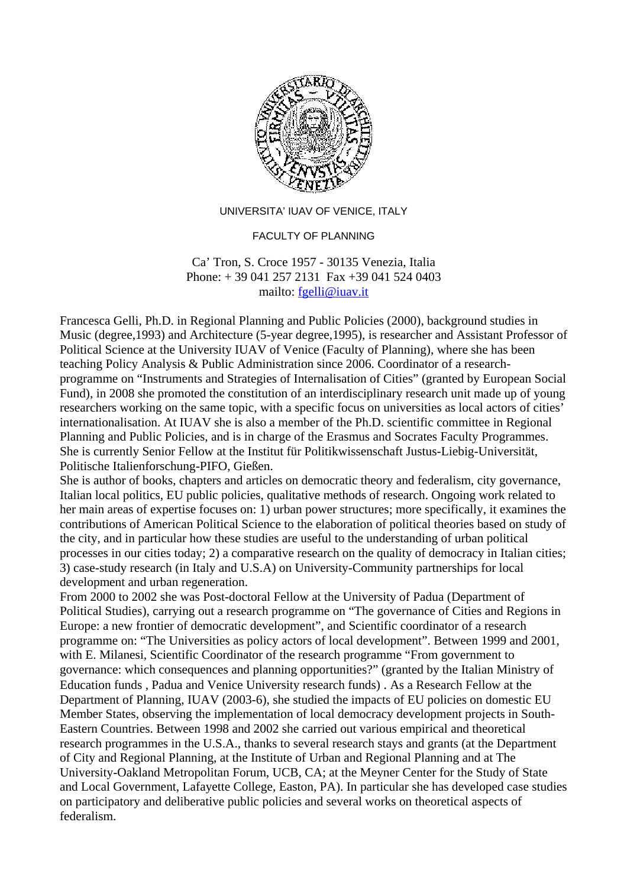

UNIVERSITA' IUAV OF VENICE, ITALY

## FACULTY OF PLANNING

## Ca' Tron, S. Croce 1957 - 30135 Venezia, Italia Phone: + 39 041 257 2131 Fax +39 041 524 0403 mailto: [fgelli@iuav.it](mailto:fgelli@iuav.it)

Francesca Gelli, Ph.D. in Regional Planning and Public Policies (2000), background studies in Music (degree,1993) and Architecture (5-year degree,1995), is researcher and Assistant Professor of Political Science at the University IUAV of Venice (Faculty of Planning), where she has been teaching Policy Analysis & Public Administration since 2006. Coordinator of a researchprogramme on "Instruments and Strategies of Internalisation of Cities" (granted by European Social Fund), in 2008 she promoted the constitution of an interdisciplinary research unit made up of young researchers working on the same topic, with a specific focus on universities as local actors of cities' internationalisation. At IUAV she is also a member of the Ph.D. scientific committee in Regional Planning and Public Policies, and is in charge of the Erasmus and Socrates Faculty Programmes. She is currently Senior Fellow at the Institut für Politikwissenschaft Justus-Liebig-Universität, Politische Italienforschung-PIFO, Gießen.

She is author of books, chapters and articles on democratic theory and federalism, city governance, Italian local politics, EU public policies, qualitative methods of research. Ongoing work related to her main areas of expertise focuses on: 1) urban power structures; more specifically, it examines the contributions of American Political Science to the elaboration of political theories based on study of the city, and in particular how these studies are useful to the understanding of urban political processes in our cities today; 2) a comparative research on the quality of democracy in Italian cities; 3) case-study research (in Italy and U.S.A) on University-Community partnerships for local development and urban regeneration.

From 2000 to 2002 she was Post-doctoral Fellow at the University of Padua (Department of Political Studies), carrying out a research programme on "The governance of Cities and Regions in Europe: a new frontier of democratic development", and Scientific coordinator of a research programme on: "The Universities as policy actors of local development". Between 1999 and 2001, with E. Milanesi, Scientific Coordinator of the research programme "From government to governance: which consequences and planning opportunities?" (granted by the Italian Ministry of Education funds , Padua and Venice University research funds) . As a Research Fellow at the Department of Planning, IUAV (2003-6), she studied the impacts of EU policies on domestic EU Member States, observing the implementation of local democracy development projects in South-Eastern Countries. Between 1998 and 2002 she carried out various empirical and theoretical research programmes in the U.S.A., thanks to several research stays and grants (at the Department of City and Regional Planning, at the Institute of Urban and Regional Planning and at The University-Oakland Metropolitan Forum, UCB, CA; at the Meyner Center for the Study of State and Local Government, Lafayette College, Easton, PA). In particular she has developed case studies on participatory and deliberative public policies and several works on theoretical aspects of federalism.